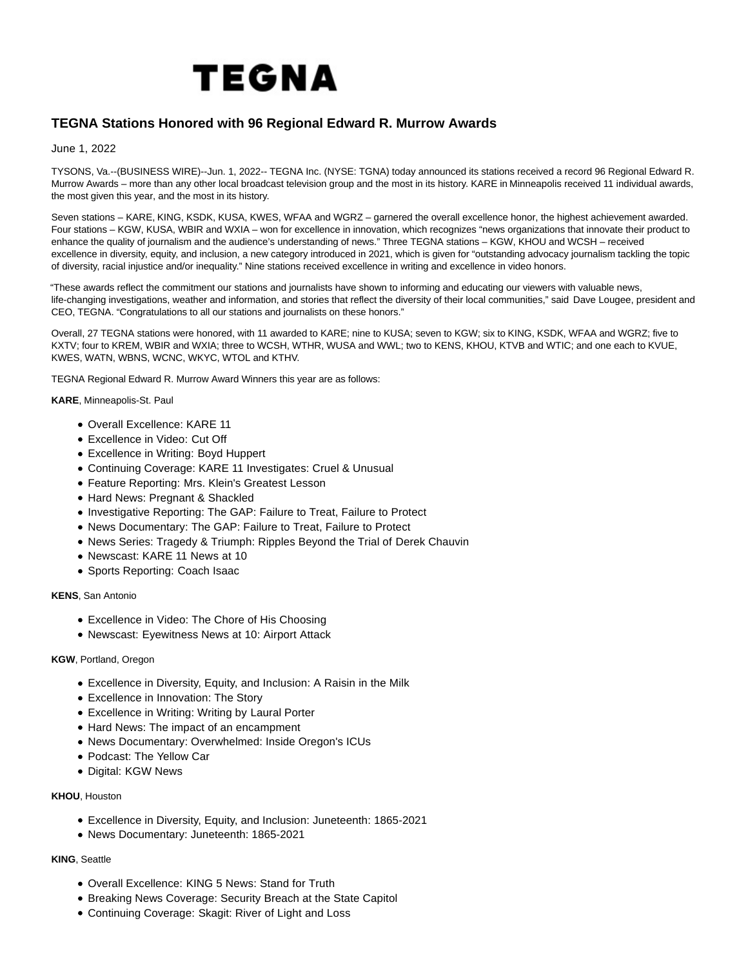

# **TEGNA Stations Honored with 96 Regional Edward R. Murrow Awards**

June 1, 2022

TYSONS, Va.--(BUSINESS WIRE)--Jun. 1, 2022-- TEGNA Inc. (NYSE: TGNA) today announced its stations received a record 96 Regional Edward R. Murrow Awards – more than any other local broadcast television group and the most in its history. KARE in Minneapolis received 11 individual awards, the most given this year, and the most in its history.

Seven stations – KARE, KING, KSDK, KUSA, KWES, WFAA and WGRZ – garnered the overall excellence honor, the highest achievement awarded. Four stations – KGW, KUSA, WBIR and WXIA – won for excellence in innovation, which recognizes "news organizations that innovate their product to enhance the quality of journalism and the audience's understanding of news." Three TEGNA stations – KGW, KHOU and WCSH – received excellence in diversity, equity, and inclusion, a new category introduced in 2021, which is given for "outstanding advocacy journalism tackling the topic of diversity, racial injustice and/or inequality." Nine stations received excellence in writing and excellence in video honors.

"These awards reflect the commitment our stations and journalists have shown to informing and educating our viewers with valuable news, life-changing investigations, weather and information, and stories that reflect the diversity of their local communities," said Dave Lougee, president and CEO, TEGNA. "Congratulations to all our stations and journalists on these honors."

Overall, 27 TEGNA stations were honored, with 11 awarded to KARE; nine to KUSA; seven to KGW; six to KING, KSDK, WFAA and WGRZ; five to KXTV; four to KREM, WBIR and WXIA; three to WCSH, WTHR, WUSA and WWL; two to KENS, KHOU, KTVB and WTIC; and one each to KVUE, KWES, WATN, WBNS, WCNC, WKYC, WTOL and KTHV.

TEGNA Regional Edward R. Murrow Award Winners this year are as follows:

**KARE**, Minneapolis-St. Paul

- Overall Excellence: KARE 11
- Excellence in Video: Cut Off
- Excellence in Writing: Boyd Huppert
- Continuing Coverage: KARE 11 Investigates: Cruel & Unusual
- Feature Reporting: Mrs. Klein's Greatest Lesson
- Hard News: Pregnant & Shackled
- Investigative Reporting: The GAP: Failure to Treat, Failure to Protect
- News Documentary: The GAP: Failure to Treat, Failure to Protect
- News Series: Tragedy & Triumph: Ripples Beyond the Trial of Derek Chauvin
- Newscast: KARE 11 News at 10
- Sports Reporting: Coach Isaac

### **KENS**, San Antonio

- Excellence in Video: The Chore of His Choosing
- Newscast: Eyewitness News at 10: Airport Attack

### **KGW**, Portland, Oregon

- Excellence in Diversity, Equity, and Inclusion: A Raisin in the Milk
- Excellence in Innovation: The Story
- Excellence in Writing: Writing by Laural Porter
- Hard News: The impact of an encampment
- News Documentary: Overwhelmed: Inside Oregon's ICUs
- Podcast: The Yellow Car
- Digital: KGW News

### **KHOU**, Houston

- Excellence in Diversity, Equity, and Inclusion: Juneteenth: 1865-2021
- News Documentary: Juneteenth: 1865-2021

# **KING**, Seattle

- Overall Excellence: KING 5 News: Stand for Truth
- Breaking News Coverage: Security Breach at the State Capitol
- Continuing Coverage: Skagit: River of Light and Loss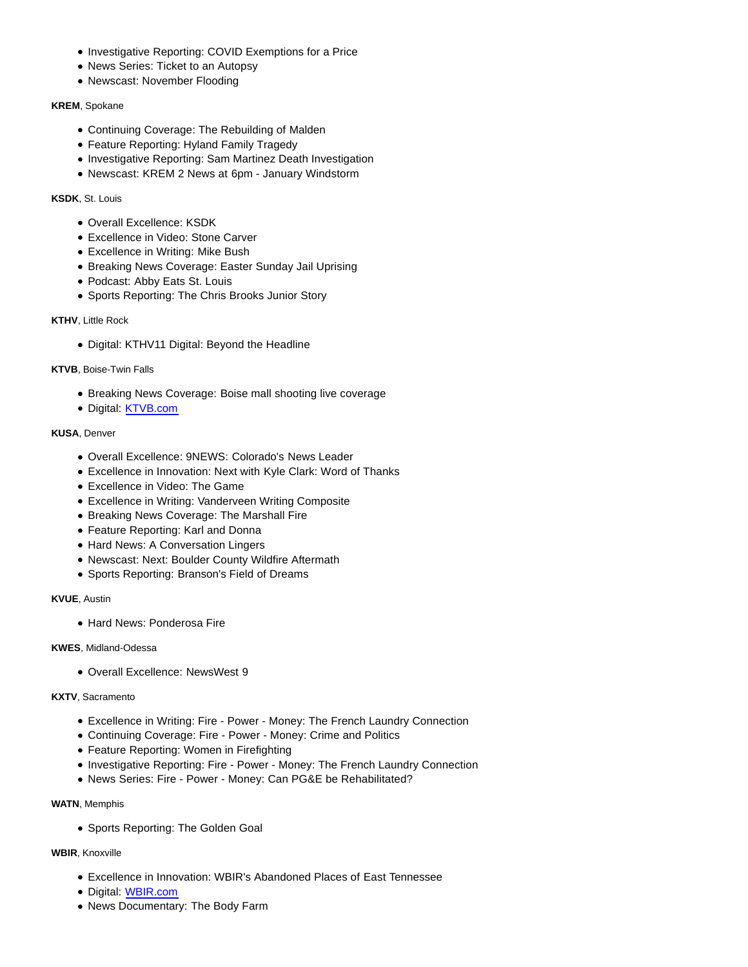- Investigative Reporting: COVID Exemptions for a Price
- News Series: Ticket to an Autopsy
- Newscast: November Flooding

## **KREM**, Spokane

- Continuing Coverage: The Rebuilding of Malden
- Feature Reporting: Hyland Family Tragedy
- Investigative Reporting: Sam Martinez Death Investigation
- Newscast: KREM 2 News at 6pm January Windstorm

## **KSDK**, St. Louis

- Overall Excellence: KSDK
- Excellence in Video: Stone Carver
- Excellence in Writing: Mike Bush
- Breaking News Coverage: Easter Sunday Jail Uprising
- Podcast: Abby Eats St. Louis
- Sports Reporting: The Chris Brooks Junior Story

## **KTHV**, Little Rock

Digital: KTHV11 Digital: Beyond the Headline

# **KTVB**, Boise-Twin Falls

- Breaking News Coverage: Boise mall shooting live coverage
- Digital: [KTVB.com](http://ktvb.com/)

# **KUSA**, Denver

- Overall Excellence: 9NEWS: Colorado's News Leader
- Excellence in Innovation: Next with Kyle Clark: Word of Thanks
- Excellence in Video: The Game
- Excellence in Writing: Vanderveen Writing Composite
- Breaking News Coverage: The Marshall Fire
- Feature Reporting: Karl and Donna
- Hard News: A Conversation Lingers
- Newscast: Next: Boulder County Wildfire Aftermath
- Sports Reporting: Branson's Field of Dreams

# **KVUE**, Austin

• Hard News: Ponderosa Fire

### **KWES**, Midland-Odessa

Overall Excellence: NewsWest 9

## **KXTV**, Sacramento

- Excellence in Writing: Fire Power Money: The French Laundry Connection
- Continuing Coverage: Fire Power Money: Crime and Politics
- Feature Reporting: Women in Firefighting
- Investigative Reporting: Fire Power Money: The French Laundry Connection
- News Series: Fire Power Money: Can PG&E be Rehabilitated?

## **WATN**, Memphis

• Sports Reporting: The Golden Goal

## **WBIR**, Knoxville

- Excellence in Innovation: WBIR's Abandoned Places of East Tennessee
- Digital: [WBIR.com](http://wbir.com/)
- News Documentary: The Body Farm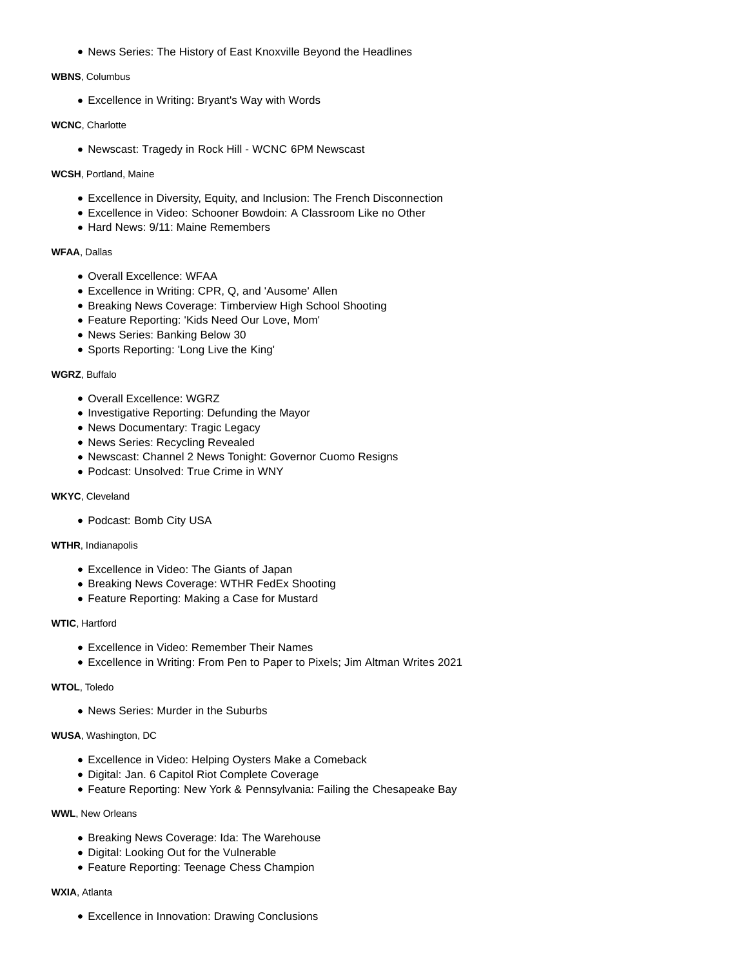News Series: The History of East Knoxville Beyond the Headlines

## **WBNS**, Columbus

Excellence in Writing: Bryant's Way with Words

## **WCNC**, Charlotte

Newscast: Tragedy in Rock Hill - WCNC 6PM Newscast

## **WCSH**, Portland, Maine

- Excellence in Diversity, Equity, and Inclusion: The French Disconnection
- Excellence in Video: Schooner Bowdoin: A Classroom Like no Other
- Hard News: 9/11: Maine Remembers

## **WFAA**, Dallas

- Overall Excellence: WFAA
- Excellence in Writing: CPR, Q, and 'Ausome' Allen
- Breaking News Coverage: Timberview High School Shooting
- Feature Reporting: 'Kids Need Our Love, Mom'
- News Series: Banking Below 30
- Sports Reporting: 'Long Live the King'

## **WGRZ**, Buffalo

- Overall Excellence: WGRZ
- Investigative Reporting: Defunding the Mayor
- News Documentary: Tragic Legacy
- News Series: Recycling Revealed
- Newscast: Channel 2 News Tonight: Governor Cuomo Resigns
- Podcast: Unsolved: True Crime in WNY

## **WKYC**, Cleveland

Podcast: Bomb City USA

## **WTHR**, Indianapolis

- Excellence in Video: The Giants of Japan
- Breaking News Coverage: WTHR FedEx Shooting
- Feature Reporting: Making a Case for Mustard

# **WTIC**, Hartford

- Excellence in Video: Remember Their Names
- Excellence in Writing: From Pen to Paper to Pixels; Jim Altman Writes 2021

## **WTOL**, Toledo

News Series: Murder in the Suburbs

# **WUSA**, Washington, DC

- Excellence in Video: Helping Oysters Make a Comeback
- Digital: Jan. 6 Capitol Riot Complete Coverage
- Feature Reporting: New York & Pennsylvania: Failing the Chesapeake Bay

# **WWL**, New Orleans

- Breaking News Coverage: Ida: The Warehouse
- Digital: Looking Out for the Vulnerable
- Feature Reporting: Teenage Chess Champion

## **WXIA**, Atlanta

Excellence in Innovation: Drawing Conclusions